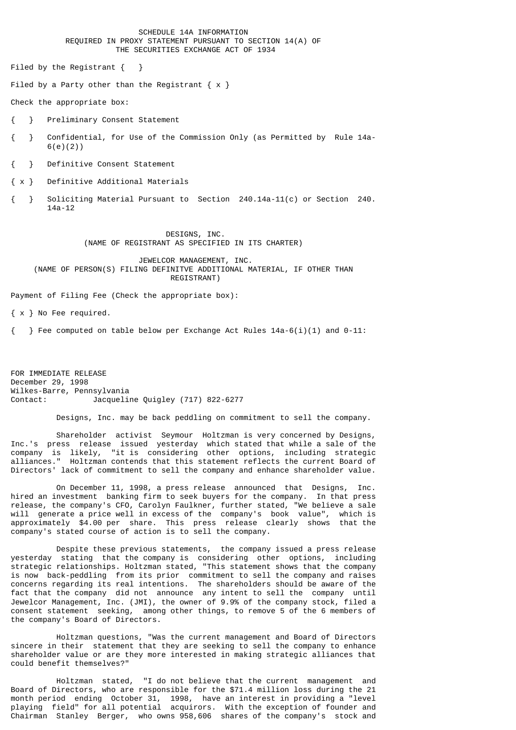## SCHEDULE 14A INFORMATION REQUIRED IN PROXY STATEMENT PURSUANT TO SECTION 14(A) OF THE SECURITIES EXCHANGE ACT OF 1934

Filed by the Registrant { }

Filed by a Party other than the Registrant  $\{ x \}$ 

Check the appropriate box:

{ } Preliminary Consent Statement

{ } Confidential, for Use of the Commission Only (as Permitted by Rule 14a- 6(e)(2))

{ } Definitive Consent Statement

{ x } Definitive Additional Materials

{ } Soliciting Material Pursuant to Section 240.14a-11(c) or Section 240. 14a-12

## DESIGNS, INC. (NAME OF REGISTRANT AS SPECIFIED IN ITS CHARTER)

## JEWELCOR MANAGEMENT, INC. (NAME OF PERSON(S) FILING DEFINITVE ADDITIONAL MATERIAL, IF OTHER THAN REGISTRANT)

Payment of Filing Fee (Check the appropriate box):

{ x } No Fee required.

{ } Fee computed on table below per Exchange Act Rules 14a-6(i)(1) and 0-11:

FOR IMMEDIATE RELEASE December 29, 1998 Wilkes-Barre, Pennsylvania Contact: Jacqueline Quigley (717) 822-6277

Designs, Inc. may be back peddling on commitment to sell the company.

 Shareholder activist Seymour Holtzman is very concerned by Designs, Inc.'s press release issued yesterday which stated that while a sale of the company is likely, "it is considering other options, including strategic alliances." Holtzman contends that this statement reflects the current Board of Directors' lack of commitment to sell the company and enhance shareholder value.

 On December 11, 1998, a press release announced that Designs, Inc. hired an investment banking firm to seek buyers for the company. In that press release, the company's CFO, Carolyn Faulkner, further stated, "We believe a sale will generate a price well in excess of the company's book value", which is approximately \$4.00 per share. This press release clearly shows that the company's stated course of action is to sell the company.

 Despite these previous statements, the company issued a press release yesterday stating that the company is considering other options, including strategic relationships. Holtzman stated, "This statement shows that the company is now back-peddling from its prior commitment to sell the company and raises concerns regarding its real intentions. The shareholders should be aware of the fact that the company did not announce any intent to sell the company until Jewelcor Management, Inc. (JMI), the owner of 9.9% of the company stock, filed a consent statement seeking, among other things, to remove 5 of the 6 members of the company's Board of Directors.

 Holtzman questions, "Was the current management and Board of Directors sincere in their statement that they are seeking to sell the company to enhance shareholder value or are they more interested in making strategic alliances that could benefit themselves?"

 Holtzman stated, "I do not believe that the current management and Board of Directors, who are responsible for the \$71.4 million loss during the 21 month period ending October 31, 1998, have an interest in providing a "level playing field" for all potential acquirors. With the exception of founder and Chairman Stanley Berger, who owns 958,606 shares of the company's stock and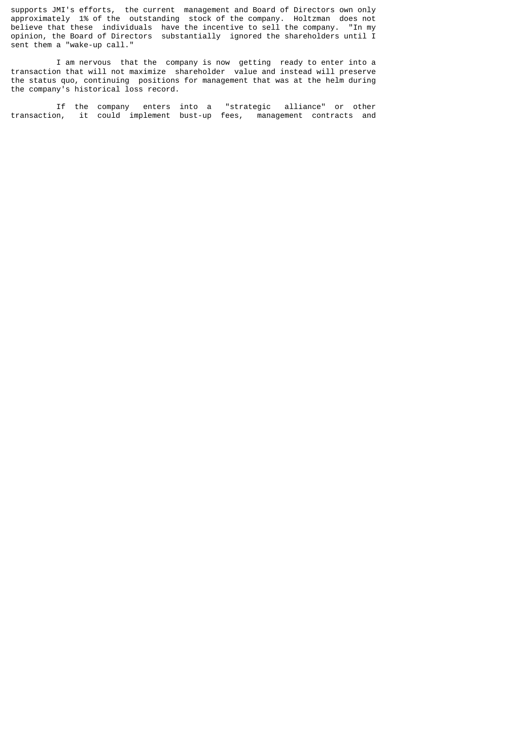supports JMI's efforts, the current management and Board of Directors own only approximately 1% of the outstanding stock of the company. Holtzman does not believe that these individuals have the incentive to sell the company. "In my opinion, the Board of Directors substantially ignored the shareholders until I sent them a "wake-up call."

 I am nervous that the company is now getting ready to enter into a transaction that will not maximize shareholder value and instead will preserve the status quo, continuing positions for management that was at the helm during the company's historical loss record.

 If the company enters into a "strategic alliance" or other transaction, it could implement bust-up fees, management contracts and